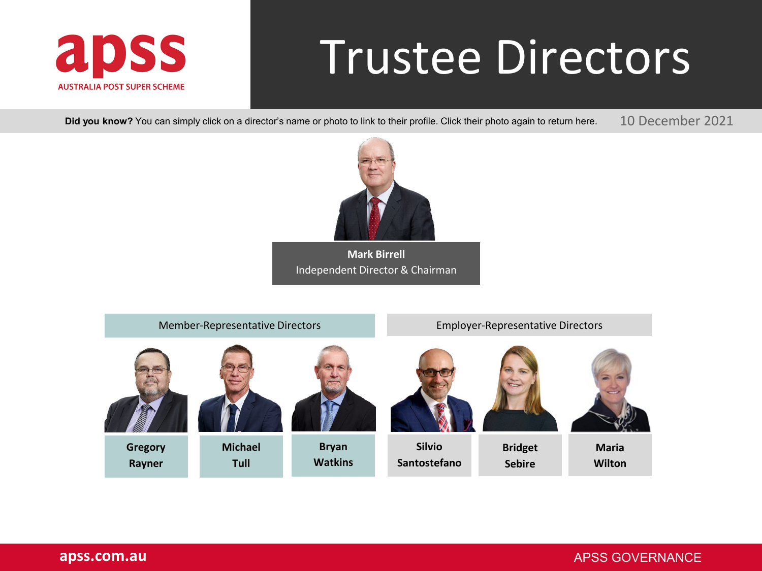<span id="page-0-0"></span>

# Trustee Directors

**Did you know?** You can simply click on a director's name or photo to link to their profile. Click their photo again to return here.

10 December 2021



**Mark Birrell** [Independent Director & Chairman](#page-1-0)

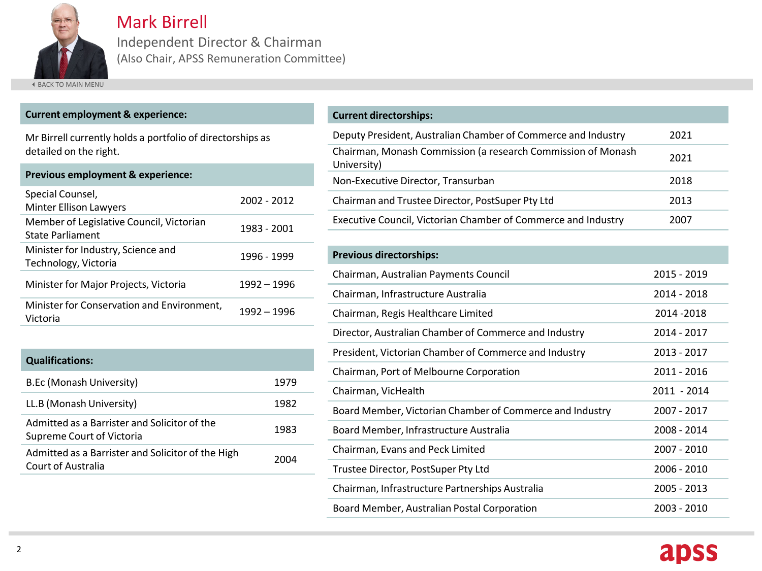<span id="page-1-0"></span>

Mark Birrell

Independent Director & Chairman (Also Chair, APSS Remuneration Committee)

**4 [BACK TO MAIN MENU](#page-0-0)** 

#### **Current employment & experience:**

Mr Birrell currently holds a portfolio of directorships as detailed on the right.

| <b>Previous employment &amp; experience:</b>                 |             |
|--------------------------------------------------------------|-------------|
| Special Counsel,<br><b>Minter Ellison Lawyers</b>            | 2002 - 2012 |
| Member of Legislative Council, Victorian<br>State Parliament | 1983 - 2001 |
| Minister for Industry, Science and<br>Technology, Victoria   | 1996 - 1999 |
| Minister for Major Projects, Victoria                        | 1992 – 1996 |
| Minister for Conservation and Environment,<br>Victoria       | 1992 – 1996 |
|                                                              |             |

| <b>Qualifications:</b>                                                    |      |
|---------------------------------------------------------------------------|------|
| B.Ec (Monash University)                                                  | 1979 |
| LL.B (Monash University)                                                  | 1982 |
| Admitted as a Barrister and Solicitor of the<br>Supreme Court of Victoria | 1983 |
| Admitted as a Barrister and Solicitor of the High<br>Court of Australia   | 2004 |

#### **Current directorships:**

| Deputy President, Australian Chamber of Commerce and Industry               | 2021 |
|-----------------------------------------------------------------------------|------|
| Chairman, Monash Commission (a research Commission of Monash<br>University) | 2021 |
| Non-Executive Director, Transurban                                          | 2018 |
| Chairman and Trustee Director, PostSuper Pty Ltd                            | 2013 |
| Executive Council, Victorian Chamber of Commerce and Industry               | 2007 |

| <b>Previous directorships:</b>                           |             |
|----------------------------------------------------------|-------------|
| Chairman, Australian Payments Council                    | 2015 - 2019 |
| Chairman, Infrastructure Australia                       | 2014 - 2018 |
| Chairman, Regis Healthcare Limited                       | 2014 - 2018 |
| Director, Australian Chamber of Commerce and Industry    | 2014 - 2017 |
| President, Victorian Chamber of Commerce and Industry    | 2013 - 2017 |
| Chairman, Port of Melbourne Corporation                  | 2011 - 2016 |
| Chairman, VicHealth                                      | 2011 - 2014 |
| Board Member, Victorian Chamber of Commerce and Industry | 2007 - 2017 |
| Board Member, Infrastructure Australia                   | 2008 - 2014 |
| Chairman, Evans and Peck Limited                         | 2007 - 2010 |
| Trustee Director, PostSuper Pty Ltd                      | 2006 - 2010 |
| Chairman, Infrastructure Partnerships Australia          | 2005 - 2013 |
| Board Member, Australian Postal Corporation              | 2003 - 2010 |

## apss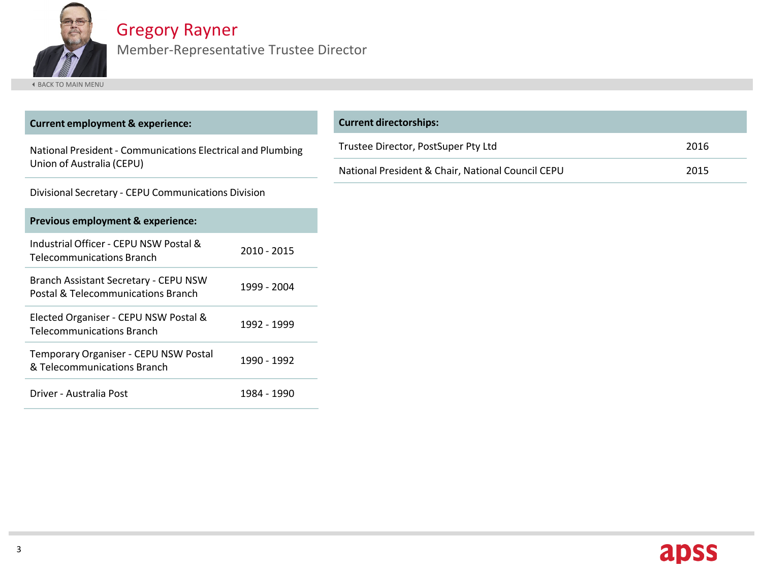<span id="page-2-0"></span>

## Gregory Rayner

Member-Representative Trustee Director

| <b>Current employment &amp; experience:</b>                                              |             | <b>Current directorships:</b>                     |      |
|------------------------------------------------------------------------------------------|-------------|---------------------------------------------------|------|
| National President - Communications Electrical and Plumbing<br>Union of Australia (CEPU) |             | Trustee Director, PostSuper Pty Ltd               | 2016 |
|                                                                                          |             | National President & Chair, National Council CEPU | 2015 |
| Divisional Secretary - CEPU Communications Division                                      |             |                                                   |      |
| Previous employment & experience:                                                        |             |                                                   |      |
| Industrial Officer - CEPU NSW Postal &<br>Telecommunications Branch                      | 2010 - 2015 |                                                   |      |
| Branch Assistant Secretary - CEPU NSW<br>Postal & Telecommunications Branch              | 1999 - 2004 |                                                   |      |
| Elected Organiser - CEPU NSW Postal &<br><b>Telecommunications Branch</b>                | 1992 - 1999 |                                                   |      |
| Temporary Organiser - CEPU NSW Postal<br>& Telecommunications Branch                     | 1990 - 1992 |                                                   |      |
| Driver - Australia Post                                                                  | 1984 - 1990 |                                                   |      |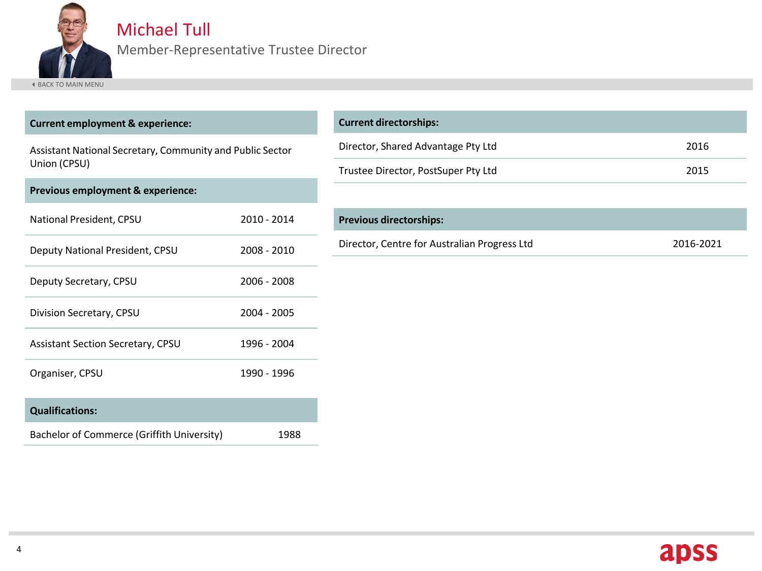<span id="page-3-0"></span>

#### Michael Tull

Member-Representative Trustee Director

| <b>Current employment &amp; experience:</b>               |             | <b>Current directorships:</b>                |           |
|-----------------------------------------------------------|-------------|----------------------------------------------|-----------|
| Assistant National Secretary, Community and Public Sector |             | Director, Shared Advantage Pty Ltd           | 2016      |
| Union (CPSU)                                              |             | Trustee Director, PostSuper Pty Ltd          | 2015      |
| Previous employment & experience:                         |             |                                              |           |
| National President, CPSU                                  | 2010 - 2014 | <b>Previous directorships:</b>               |           |
| Deputy National President, CPSU                           | 2008 - 2010 | Director, Centre for Australian Progress Ltd | 2016-2021 |
| Deputy Secretary, CPSU                                    | 2006 - 2008 |                                              |           |
| Division Secretary, CPSU                                  | 2004 - 2005 |                                              |           |
| Assistant Section Secretary, CPSU                         | 1996 - 2004 |                                              |           |
| Organiser, CPSU                                           | 1990 - 1996 |                                              |           |
| <b>Qualifications:</b>                                    |             |                                              |           |
| Bachelor of Commerce (Griffith University)                | 1988        |                                              |           |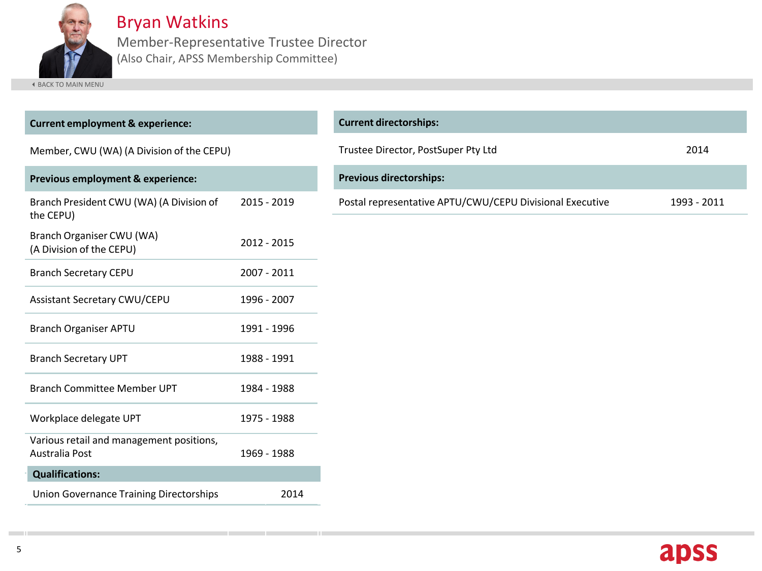<span id="page-4-0"></span>

Bryan Watkins

Member-Representative Trustee Director (Also Chair, APSS Membership Committee)

| <b>Current employment &amp; experience:</b>                |             | <b>Current directorships:</b>                            |             |
|------------------------------------------------------------|-------------|----------------------------------------------------------|-------------|
| Member, CWU (WA) (A Division of the CEPU)                  |             | Trustee Director, PostSuper Pty Ltd                      |             |
| Previous employment & experience:                          |             | <b>Previous directorships:</b>                           |             |
| Branch President CWU (WA) (A Division of<br>the CEPU)      | 2015 - 2019 | Postal representative APTU/CWU/CEPU Divisional Executive | 1993 - 2011 |
| Branch Organiser CWU (WA)<br>(A Division of the CEPU)      | 2012 - 2015 |                                                          |             |
| <b>Branch Secretary CEPU</b>                               | 2007 - 2011 |                                                          |             |
| <b>Assistant Secretary CWU/CEPU</b>                        | 1996 - 2007 |                                                          |             |
| <b>Branch Organiser APTU</b>                               | 1991 - 1996 |                                                          |             |
| <b>Branch Secretary UPT</b>                                | 1988 - 1991 |                                                          |             |
| <b>Branch Committee Member UPT</b>                         | 1984 - 1988 |                                                          |             |
| Workplace delegate UPT                                     | 1975 - 1988 |                                                          |             |
| Various retail and management positions,<br>Australia Post | 1969 - 1988 |                                                          |             |
| <b>Qualifications:</b>                                     |             |                                                          |             |
| <b>Union Governance Training Directorships</b>             | 2014        |                                                          |             |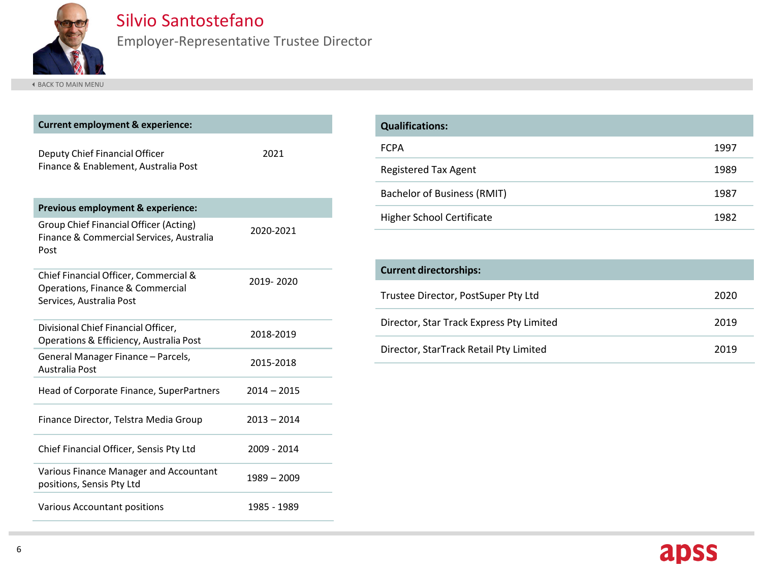<span id="page-5-0"></span>

#### Silvio Santostefano

Employer-Representative Trustee Director

| <b>Current employment &amp; experience:</b>                                                           |               |
|-------------------------------------------------------------------------------------------------------|---------------|
| Deputy Chief Financial Officer<br>Finance & Enablement, Australia Post                                | 2021          |
| Previous employment & experience:                                                                     |               |
| <b>Group Chief Financial Officer (Acting)</b><br>Finance & Commercial Services, Australia<br>Post     | 2020-2021     |
| Chief Financial Officer, Commercial &<br>Operations, Finance & Commercial<br>Services, Australia Post | 2019-2020     |
| Divisional Chief Financial Officer,<br>Operations & Efficiency, Australia Post                        | 2018-2019     |
| General Manager Finance - Parcels,<br>Australia Post                                                  | 2015-2018     |
| Head of Corporate Finance, SuperPartners                                                              | $2014 - 2015$ |
| Finance Director, Telstra Media Group                                                                 | $2013 - 2014$ |
| Chief Financial Officer, Sensis Pty Ltd                                                               | 2009 - 2014   |
| Various Finance Manager and Accountant<br>positions, Sensis Pty Ltd                                   | $1989 - 2009$ |
| <b>Various Accountant positions</b>                                                                   | 1985 - 1989   |

| <b>Qualifications:</b>             |      |
|------------------------------------|------|
| <b>FCPA</b>                        | 1997 |
| <b>Registered Tax Agent</b>        | 1989 |
| <b>Bachelor of Business (RMIT)</b> | 1987 |
| <b>Higher School Certificate</b>   | 1982 |

| <b>Current directorships:</b>            |      |
|------------------------------------------|------|
| Trustee Director, PostSuper Pty Ltd      | 2020 |
| Director, Star Track Express Pty Limited | 2019 |
| Director, StarTrack Retail Pty Limited   | 2019 |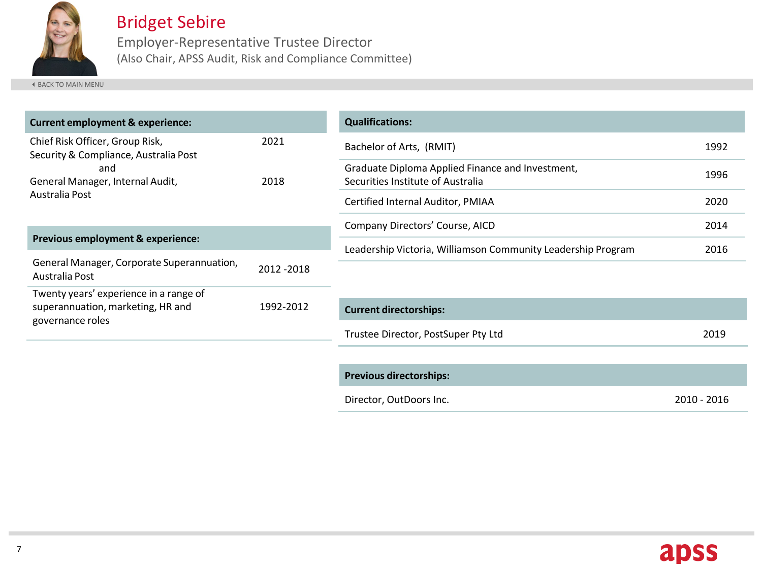<span id="page-6-0"></span>

### Bridget Sebire

Employer-Representative Trustee Director (Also Chair, APSS Audit, Risk and Compliance Committee)

[BACK TO MAIN MENU](#page-0-0)

| <b>Current employment &amp; experience:</b>                              |              | <b>Qualifications:</b>                                                                |      |
|--------------------------------------------------------------------------|--------------|---------------------------------------------------------------------------------------|------|
| Chief Risk Officer, Group Risk,<br>Security & Compliance, Australia Post | 2021<br>2018 | Bachelor of Arts, (RMIT)                                                              | 1992 |
| and<br>General Manager, Internal Audit,                                  |              | Graduate Diploma Applied Finance and Investment,<br>Securities Institute of Australia | 1996 |
| Australia Post                                                           |              | Certified Internal Auditor, PMIAA                                                     | 2020 |
|                                                                          |              | Company Directors' Course, AICD                                                       | 2014 |
| <b>Previous employment &amp; experience:</b>                             |              | Leadership Victoria, Williamson Community Leadership Program                          | 2016 |
| General Manager, Corporate Superannuation,<br>Australia Post             | 2012-2018    |                                                                                       |      |
| Twenty years' experience in a range of                                   |              |                                                                                       |      |
| superannuation, marketing, HR and                                        | 1992-2012    | <b>Current directorships:</b>                                                         |      |
| governance roles                                                         |              | Trustee Director, PostSuper Pty Ltd                                                   | 2019 |
|                                                                          |              |                                                                                       |      |
|                                                                          |              | <b>Previous directorships:</b>                                                        |      |

Director, OutDoors Inc. 2010 - 2016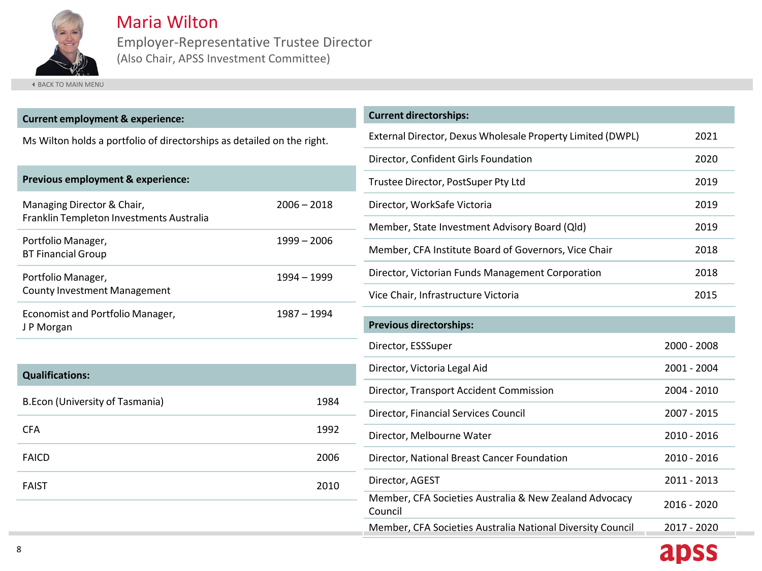<span id="page-7-0"></span>

Maria Wilton

Employer-Representative Trustee Director (Also Chair, APSS Investment Committee)

| <b>Current employment &amp; experience:</b>                            |               | <b>Current directorships:</b>   |  |
|------------------------------------------------------------------------|---------------|---------------------------------|--|
| Ms Wilton holds a portfolio of directorships as detailed on the right. |               | External Director, Dexu         |  |
|                                                                        |               |                                 |  |
| Previous employment & experience:                                      |               | Trustee Director, PostS         |  |
| Managing Director & Chair,                                             | $2006 - 2018$ | Director, WorkSafe Vic          |  |
| Franklin Templeton Investments Australia                               |               | Member, State Investr           |  |
| Portfolio Manager,<br><b>BT Financial Group</b>                        | $1999 - 2006$ | Member, CFA Institute           |  |
| Portfolio Manager,                                                     | 1994 - 1999   | Director, Victorian Fun         |  |
| <b>County Investment Management</b>                                    |               | Vice Chair, Infrastructu        |  |
| Economist and Portfolio Manager,<br>J P Morgan                         | 1987 - 1994   | <b>Previous directorships</b>   |  |
|                                                                        |               | Director, ESSSuper              |  |
| <b>Qualifications:</b>                                                 |               | Director, Victoria Legal        |  |
| <b>B.Econ (University of Tasmania)</b>                                 | 1984          | Director, Transport Ac          |  |
|                                                                        |               | Director, Financial Serv        |  |
| <b>CFA</b>                                                             | 1992          | Director, Melbourne W           |  |
| <b>FAICD</b>                                                           | 2006          | Director, National Brea         |  |
| <b>FAIST</b>                                                           | 2010          | Director, AGEST                 |  |
|                                                                        |               | Member, CFA Societie<br>Council |  |
|                                                                        |               | Member, CFA Societie            |  |

| <b>CALLCITE AIL CERTISHING</b>                                    |             |
|-------------------------------------------------------------------|-------------|
| External Director, Dexus Wholesale Property Limited (DWPL)        | 2021        |
| Director, Confident Girls Foundation                              | 2020        |
| Trustee Director, PostSuper Pty Ltd                               | 2019        |
| Director, WorkSafe Victoria                                       | 2019        |
| Member, State Investment Advisory Board (Qld)                     | 2019        |
| Member, CFA Institute Board of Governors, Vice Chair              | 2018        |
| Director, Victorian Funds Management Corporation                  | 2018        |
| Vice Chair, Infrastructure Victoria                               | 2015        |
| <b>Previous directorships:</b>                                    |             |
| Director, ESSSuper                                                | 2000 - 2008 |
| Director, Victoria Legal Aid                                      | 2001 - 2004 |
| Director, Transport Accident Commission                           | 2004 - 2010 |
| Director, Financial Services Council                              | 2007 - 2015 |
| Director, Melbourne Water                                         | 2010 - 2016 |
| Director, National Breast Cancer Foundation                       | 2010 - 2016 |
| Director, AGEST                                                   | 2011 - 2013 |
| Member, CFA Societies Australia & New Zealand Advocacy<br>Council | 2016 - 2020 |
| Member, CFA Societies Australia National Diversity Council        | 2017 - 2020 |
|                                                                   | apss        |
|                                                                   |             |